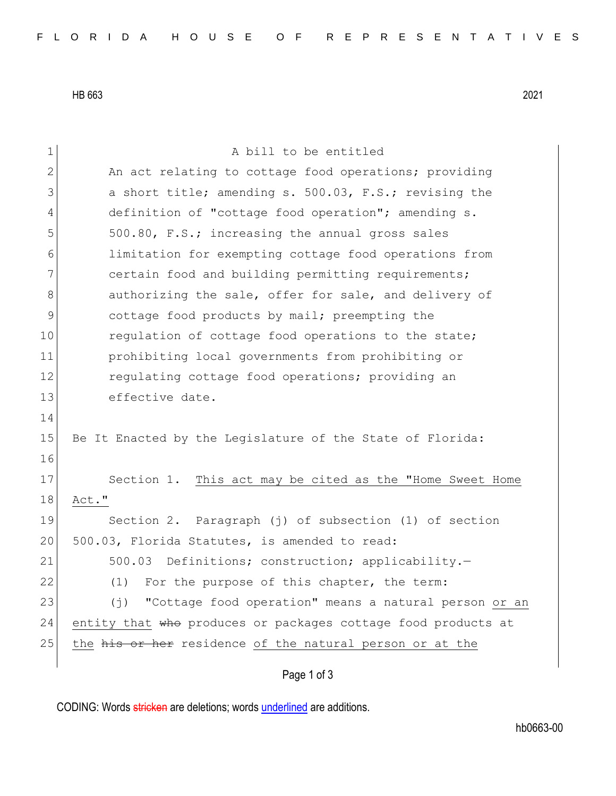HB 663 2021

| $\mathbf 1$    | A bill to be entitled                                                |  |  |  |  |  |  |  |  |
|----------------|----------------------------------------------------------------------|--|--|--|--|--|--|--|--|
| $\mathbf{2}$   | An act relating to cottage food operations; providing                |  |  |  |  |  |  |  |  |
| 3              | a short title; amending s. 500.03, F.S.; revising the                |  |  |  |  |  |  |  |  |
| $\overline{4}$ | definition of "cottage food operation"; amending s.                  |  |  |  |  |  |  |  |  |
| 5              | 500.80, F.S.; increasing the annual gross sales                      |  |  |  |  |  |  |  |  |
| 6              | limitation for exempting cottage food operations from                |  |  |  |  |  |  |  |  |
| $7\phantom{.}$ | certain food and building permitting requirements;                   |  |  |  |  |  |  |  |  |
| $8\,$          | authorizing the sale, offer for sale, and delivery of                |  |  |  |  |  |  |  |  |
| $\mathsf 9$    | cottage food products by mail; preempting the                        |  |  |  |  |  |  |  |  |
| 10             | regulation of cottage food operations to the state;                  |  |  |  |  |  |  |  |  |
| 11             | prohibiting local governments from prohibiting or                    |  |  |  |  |  |  |  |  |
| 12             | regulating cottage food operations; providing an                     |  |  |  |  |  |  |  |  |
| 13             | effective date.                                                      |  |  |  |  |  |  |  |  |
| 14             |                                                                      |  |  |  |  |  |  |  |  |
| 15             | Be It Enacted by the Legislature of the State of Florida:            |  |  |  |  |  |  |  |  |
| 16             |                                                                      |  |  |  |  |  |  |  |  |
| 17             | Section 1. This act may be cited as the "Home Sweet Home             |  |  |  |  |  |  |  |  |
| 18             | Act."                                                                |  |  |  |  |  |  |  |  |
| 19             | Section 2. Paragraph (j) of subsection (1) of section                |  |  |  |  |  |  |  |  |
| 20             | 500.03, Florida Statutes, is amended to read:                        |  |  |  |  |  |  |  |  |
| 21             | 500.03<br>Definitions; construction; applicability.-                 |  |  |  |  |  |  |  |  |
| 22             | (1) For the purpose of this chapter, the term:                       |  |  |  |  |  |  |  |  |
| 23             | "Cottage food operation" means a natural person or an<br>$(\dagger)$ |  |  |  |  |  |  |  |  |
| 24             | entity that who produces or packages cottage food products at        |  |  |  |  |  |  |  |  |
| 25             | the his or her residence of the natural person or at the             |  |  |  |  |  |  |  |  |
|                |                                                                      |  |  |  |  |  |  |  |  |
|                | Page 1 of 3                                                          |  |  |  |  |  |  |  |  |

CODING: Words stricken are deletions; words underlined are additions.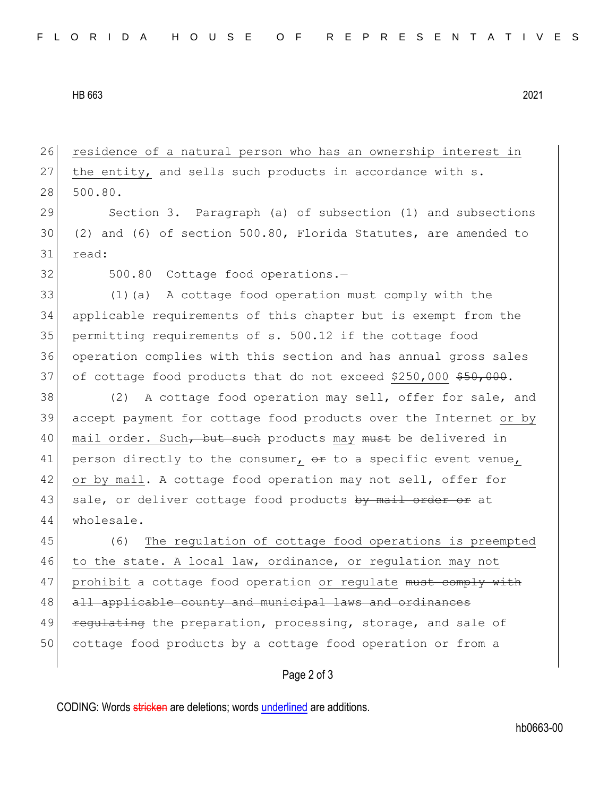HB 663 2021

26 residence of a natural person who has an ownership interest in 27 the entity, and sells such products in accordance with s. 28 500.80.

29 Section 3. Paragraph (a) of subsection (1) and subsections 30 (2) and (6) of section 500.80, Florida Statutes, are amended to 31 read:

32 500.80 Cottage food operations.

 (1)(a) A cottage food operation must comply with the applicable requirements of this chapter but is exempt from the permitting requirements of s. 500.12 if the cottage food operation complies with this section and has annual gross sales 37 of cottage food products that do not exceed \$250,000 \$50,000.

38 (2) A cottage food operation may sell, offer for sale, and 39 accept payment for cottage food products over the Internet or by 40 mail order. Such, but such products may must be delivered in 41 person directly to the consumer,  $\theta$  to a specific event venue, 42 or by mail. A cottage food operation may not sell, offer for 43 sale, or deliver cottage food products by mail order or at 44 wholesale.

45 (6) The regulation of cottage food operations is preempted 46 to the state. A local law, ordinance, or regulation may not 47 prohibit a cottage food operation or regulate must comply with 48 all applicable county and municipal laws and ordinances 49 regulating the preparation, processing, storage, and sale of 50 cottage food products by a cottage food operation or from a

## Page 2 of 3

CODING: Words stricken are deletions; words underlined are additions.